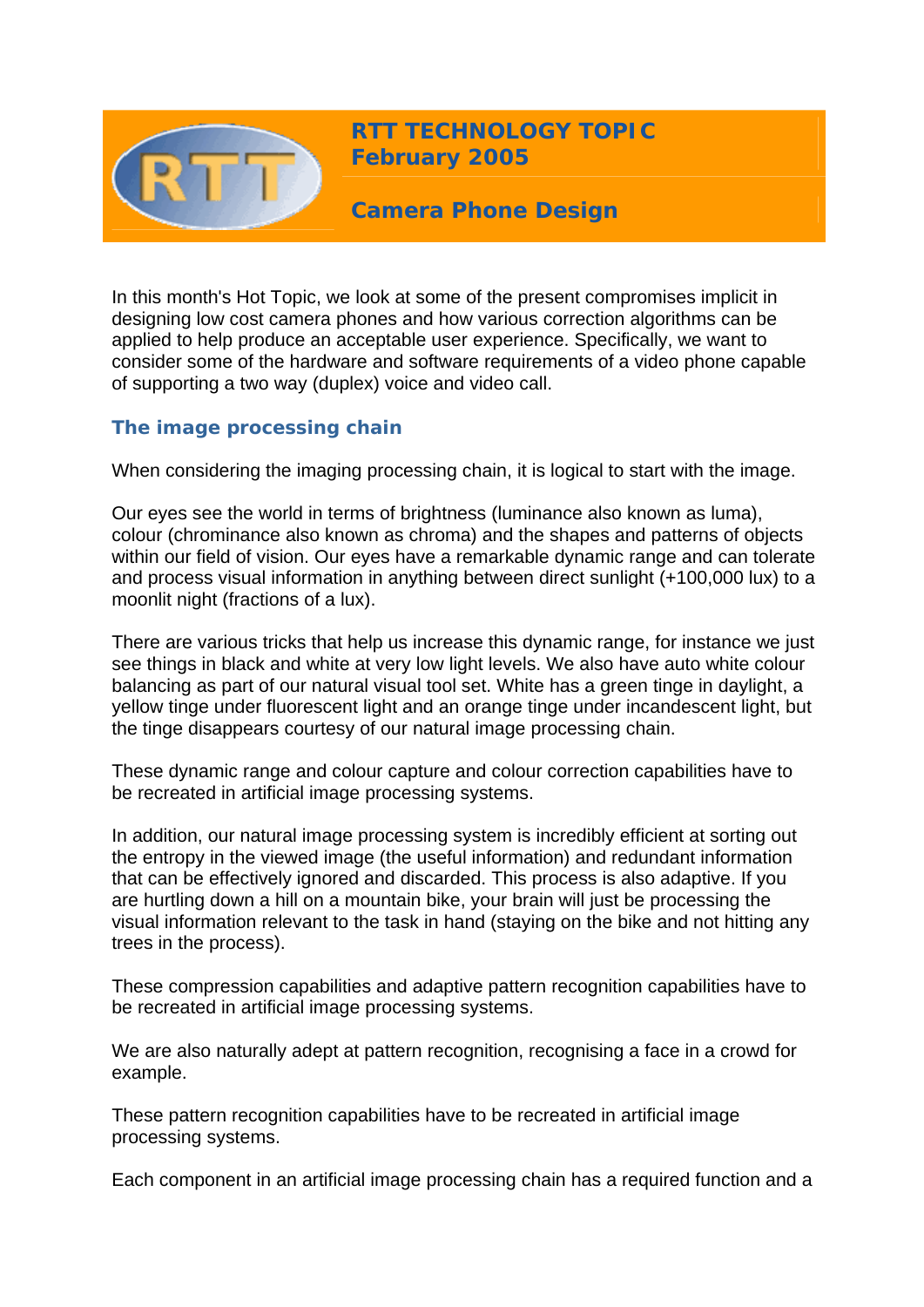

**RTT TECHNOLOGY TOPIC February 2005**

**Camera Phone Design** 

In this month's Hot Topic, we look at some of the present compromises implicit in designing low cost camera phones and how various correction algorithms can be applied to help produce an acceptable user experience. Specifically, we want to consider some of the hardware and software requirements of a video phone capable of supporting a two way (duplex) voice and video call.

# **The image processing chain**

When considering the imaging processing chain, it is logical to start with the image.

Our eyes see the world in terms of brightness (luminance also known as luma), colour (chrominance also known as chroma) and the shapes and patterns of objects within our field of vision. Our eves have a remarkable dynamic range and can tolerate and process visual information in anything between direct sunlight (+100,000 lux) to a moonlit night (fractions of a lux).

There are various tricks that help us increase this dynamic range, for instance we just see things in black and white at very low light levels. We also have auto white colour balancing as part of our natural visual tool set. White has a green tinge in daylight, a yellow tinge under fluorescent light and an orange tinge under incandescent light, but the tinge disappears courtesy of our natural image processing chain.

These dynamic range and colour capture and colour correction capabilities have to be recreated in artificial image processing systems.

In addition, our natural image processing system is incredibly efficient at sorting out the entropy in the viewed image (the useful information) and redundant information that can be effectively ignored and discarded. This process is also adaptive. If you are hurtling down a hill on a mountain bike, your brain will just be processing the visual information relevant to the task in hand (staying on the bike and not hitting any trees in the process).

These compression capabilities and adaptive pattern recognition capabilities have to be recreated in artificial image processing systems.

We are also naturally adept at pattern recognition, recognising a face in a crowd for example.

These pattern recognition capabilities have to be recreated in artificial image processing systems.

Each component in an artificial image processing chain has a required function and a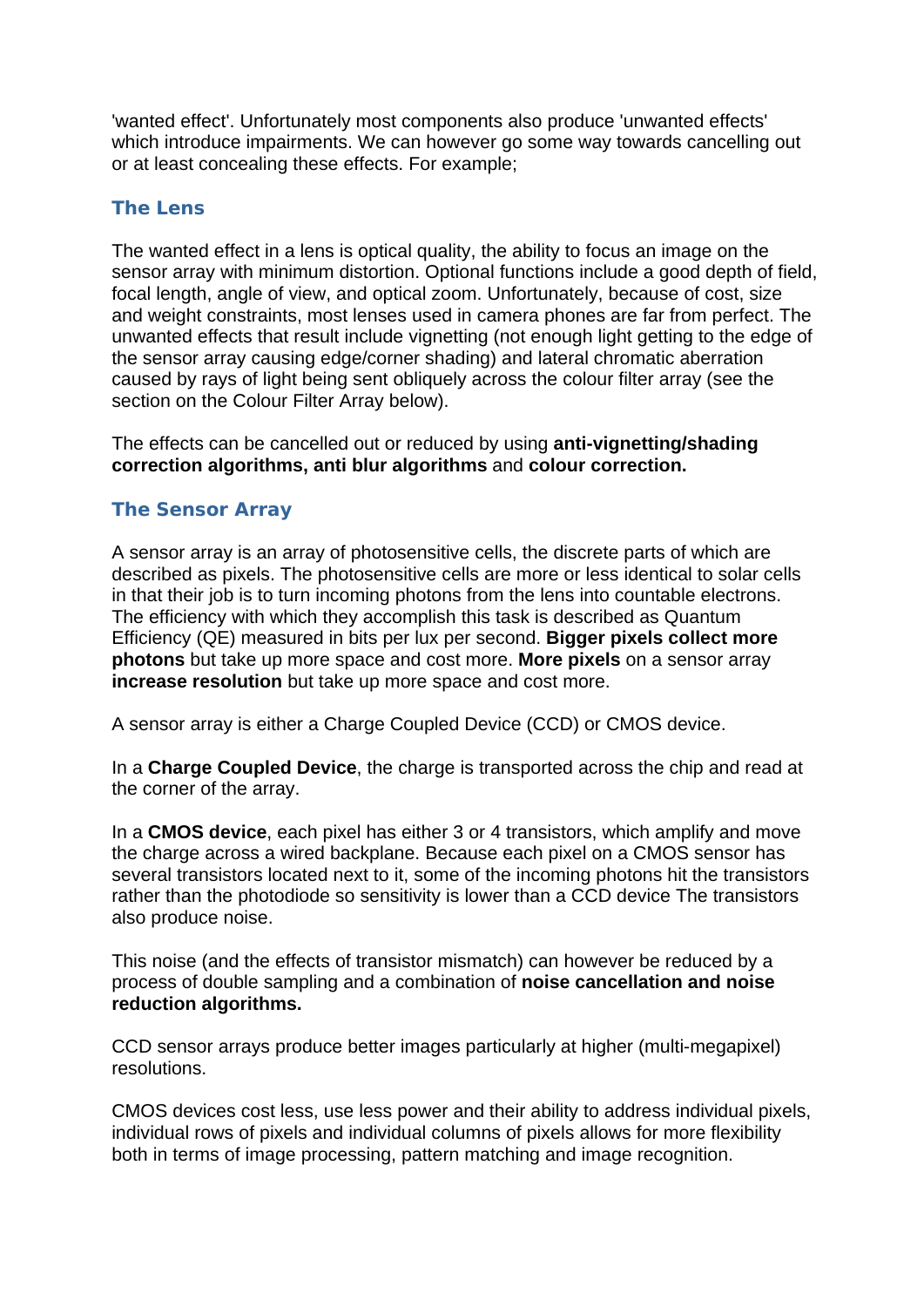'wanted effect'. Unfortunately most components also produce 'unwanted effects' which introduce impairments. We can however go some way towards cancelling out or at least concealing these effects. For example;

## **The Lens**

The wanted effect in a lens is optical quality, the ability to focus an image on the sensor array with minimum distortion. Optional functions include a good depth of field, focal length, angle of view, and optical zoom. Unfortunately, because of cost, size and weight constraints, most lenses used in camera phones are far from perfect. The unwanted effects that result include vignetting (not enough light getting to the edge of the sensor array causing edge/corner shading) and lateral chromatic aberration caused by rays of light being sent obliquely across the colour filter array (see the section on the Colour Filter Array below).

The effects can be cancelled out or reduced by using **anti-vignetting/shading correction algorithms, anti blur algorithms** and **colour correction.**

# **The Sensor Array**

A sensor array is an array of photosensitive cells, the discrete parts of which are described as pixels. The photosensitive cells are more or less identical to solar cells in that their job is to turn incoming photons from the lens into countable electrons. The efficiency with which they accomplish this task is described as Quantum Efficiency (QE) measured in bits per lux per second. **Bigger pixels collect more photons** but take up more space and cost more. **More pixels** on a sensor array **increase resolution** but take up more space and cost more.

A sensor array is either a Charge Coupled Device (CCD) or CMOS device.

In a **Charge Coupled Device**, the charge is transported across the chip and read at the corner of the array.

In a **CMOS device**, each pixel has either 3 or 4 transistors, which amplify and move the charge across a wired backplane. Because each pixel on a CMOS sensor has several transistors located next to it, some of the incoming photons hit the transistors rather than the photodiode so sensitivity is lower than a CCD device The transistors also produce noise.

This noise (and the effects of transistor mismatch) can however be reduced by a process of double sampling and a combination of **noise cancellation and noise reduction algorithms.** 

CCD sensor arrays produce better images particularly at higher (multi-megapixel) resolutions.

CMOS devices cost less, use less power and their ability to address individual pixels, individual rows of pixels and individual columns of pixels allows for more flexibility both in terms of image processing, pattern matching and image recognition.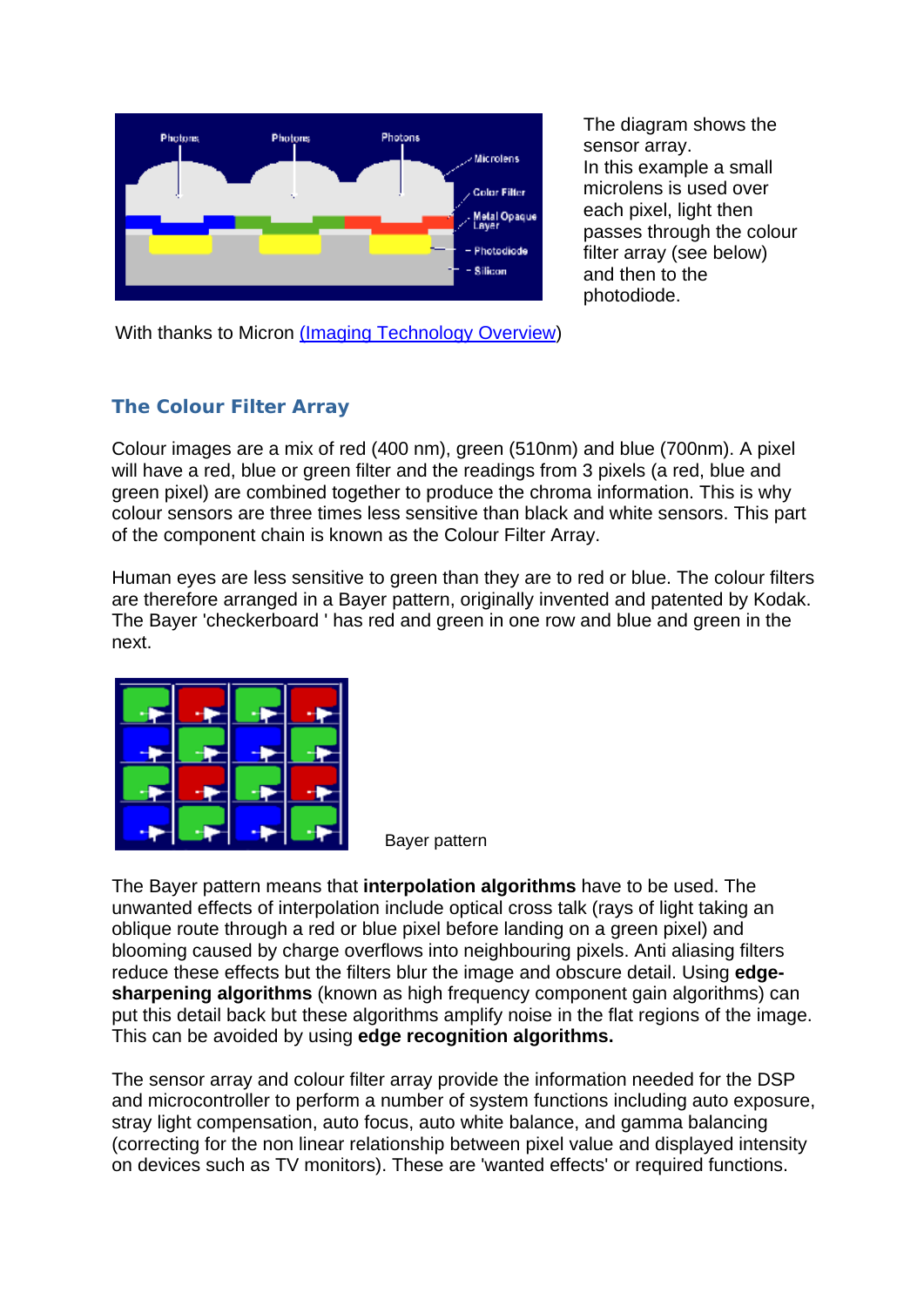

The diagram shows the sensor array. In this example a small microlens is used over each pixel, light then passes through the colour filter array (see below) and then to the photodiode.

With thanks to Micron [\(Imaging Technology Overview](http://www.micron.com/products/imaging/technology/index.html))

# **The Colour Filter Array**

Colour images are a mix of red (400 nm), green (510nm) and blue (700nm). A pixel will have a red, blue or green filter and the readings from 3 pixels (a red, blue and green pixel) are combined together to produce the chroma information. This is why colour sensors are three times less sensitive than black and white sensors. This part of the component chain is known as the Colour Filter Array.

Human eyes are less sensitive to green than they are to red or blue. The colour filters are therefore arranged in a Bayer pattern, originally invented and patented by Kodak. The Bayer 'checkerboard ' has red and green in one row and blue and green in the next.



Bayer pattern

The Bayer pattern means that **interpolation algorithms** have to be used. The unwanted effects of interpolation include optical cross talk (rays of light taking an oblique route through a red or blue pixel before landing on a green pixel) and blooming caused by charge overflows into neighbouring pixels. Anti aliasing filters reduce these effects but the filters blur the image and obscure detail. Using **edgesharpening algorithms** (known as high frequency component gain algorithms) can put this detail back but these algorithms amplify noise in the flat regions of the image. This can be avoided by using **edge recognition algorithms.**

The sensor array and colour filter array provide the information needed for the DSP and microcontroller to perform a number of system functions including auto exposure, stray light compensation, auto focus, auto white balance, and gamma balancing (correcting for the non linear relationship between pixel value and displayed intensity on devices such as TV monitors). These are 'wanted effects' or required functions.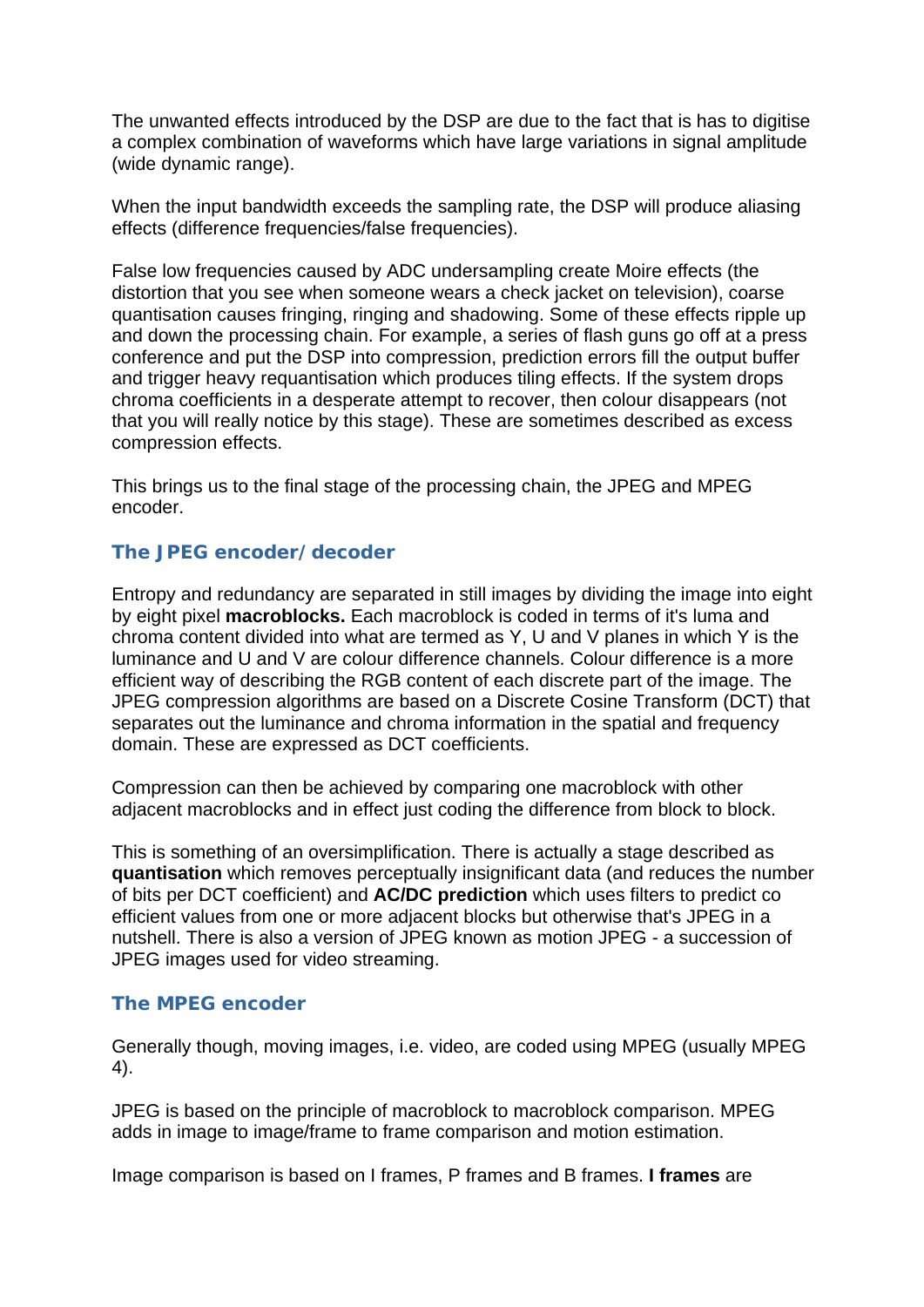The unwanted effects introduced by the DSP are due to the fact that is has to digitise a complex combination of waveforms which have large variations in signal amplitude (wide dynamic range).

When the input bandwidth exceeds the sampling rate, the DSP will produce aliasing effects (difference frequencies/false frequencies).

False low frequencies caused by ADC undersampling create Moire effects (the distortion that you see when someone wears a check jacket on television), coarse quantisation causes fringing, ringing and shadowing. Some of these effects ripple up and down the processing chain. For example, a series of flash guns go off at a press conference and put the DSP into compression, prediction errors fill the output buffer and trigger heavy requantisation which produces tiling effects. If the system drops chroma coefficients in a desperate attempt to recover, then colour disappears (not that you will really notice by this stage). These are sometimes described as excess compression effects.

This brings us to the final stage of the processing chain, the JPEG and MPEG encoder.

### **The JPEG encoder/decoder**

Entropy and redundancy are separated in still images by dividing the image into eight by eight pixel **macroblocks.** Each macroblock is coded in terms of it's luma and chroma content divided into what are termed as Y, U and V planes in which Y is the luminance and U and V are colour difference channels. Colour difference is a more efficient way of describing the RGB content of each discrete part of the image. The JPEG compression algorithms are based on a Discrete Cosine Transform (DCT) that separates out the luminance and chroma information in the spatial and frequency domain. These are expressed as DCT coefficients.

Compression can then be achieved by comparing one macroblock with other adjacent macroblocks and in effect just coding the difference from block to block.

This is something of an oversimplification. There is actually a stage described as **quantisation** which removes perceptually insignificant data (and reduces the number of bits per DCT coefficient) and **AC/DC prediction** which uses filters to predict co efficient values from one or more adjacent blocks but otherwise that's JPEG in a nutshell. There is also a version of JPEG known as motion JPEG - a succession of JPEG images used for video streaming.

### **The MPEG encoder**

Generally though, moving images, i.e. video, are coded using MPEG (usually MPEG 4).

JPEG is based on the principle of macroblock to macroblock comparison. MPEG adds in image to image/frame to frame comparison and motion estimation.

Image comparison is based on I frames, P frames and B frames. **I frames** are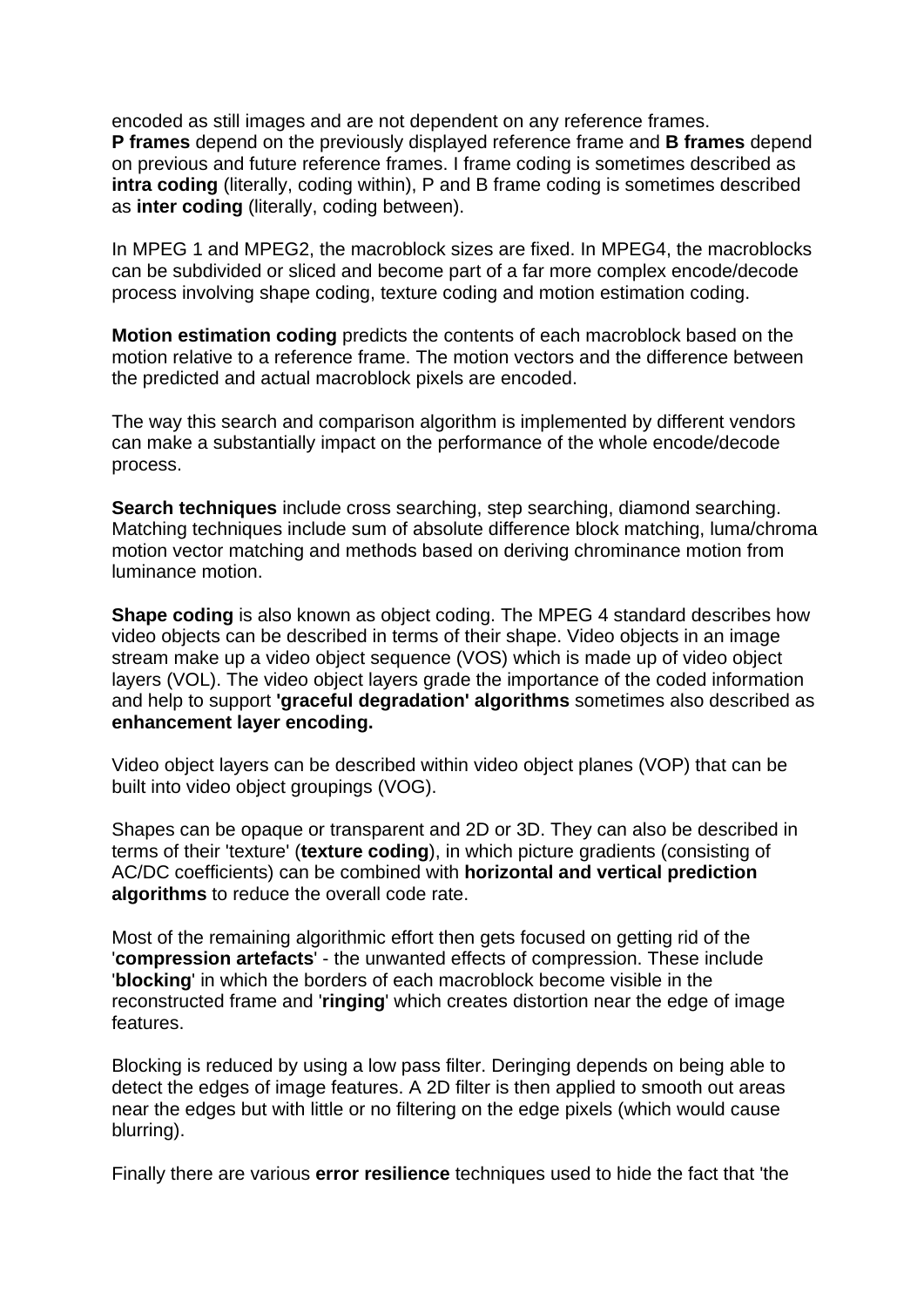encoded as still images and are not dependent on any reference frames. **P frames** depend on the previously displayed reference frame and **B frames** depend on previous and future reference frames. I frame coding is sometimes described as **intra coding** (literally, coding within), P and B frame coding is sometimes described as **inter coding** (literally, coding between).

In MPEG 1 and MPEG2, the macroblock sizes are fixed. In MPEG4, the macroblocks can be subdivided or sliced and become part of a far more complex encode/decode process involving shape coding, texture coding and motion estimation coding.

**Motion estimation coding** predicts the contents of each macroblock based on the motion relative to a reference frame. The motion vectors and the difference between the predicted and actual macroblock pixels are encoded.

The way this search and comparison algorithm is implemented by different vendors can make a substantially impact on the performance of the whole encode/decode process.

**Search techniques** include cross searching, step searching, diamond searching. Matching techniques include sum of absolute difference block matching, luma/chroma motion vector matching and methods based on deriving chrominance motion from luminance motion.

**Shape coding** is also known as object coding. The MPEG 4 standard describes how video objects can be described in terms of their shape. Video objects in an image stream make up a video object sequence (VOS) which is made up of video object layers (VOL). The video object layers grade the importance of the coded information and help to support **'graceful degradation' algorithms** sometimes also described as **enhancement layer encoding.** 

Video object layers can be described within video object planes (VOP) that can be built into video object groupings (VOG).

Shapes can be opaque or transparent and 2D or 3D. They can also be described in terms of their 'texture' (**texture coding**), in which picture gradients (consisting of AC/DC coefficients) can be combined with **horizontal and vertical prediction algorithms** to reduce the overall code rate.

Most of the remaining algorithmic effort then gets focused on getting rid of the '**compression artefacts**' - the unwanted effects of compression. These include '**blocking**' in which the borders of each macroblock become visible in the reconstructed frame and '**ringing**' which creates distortion near the edge of image features.

Blocking is reduced by using a low pass filter. Deringing depends on being able to detect the edges of image features. A 2D filter is then applied to smooth out areas near the edges but with little or no filtering on the edge pixels (which would cause blurring).

Finally there are various **error resilience** techniques used to hide the fact that 'the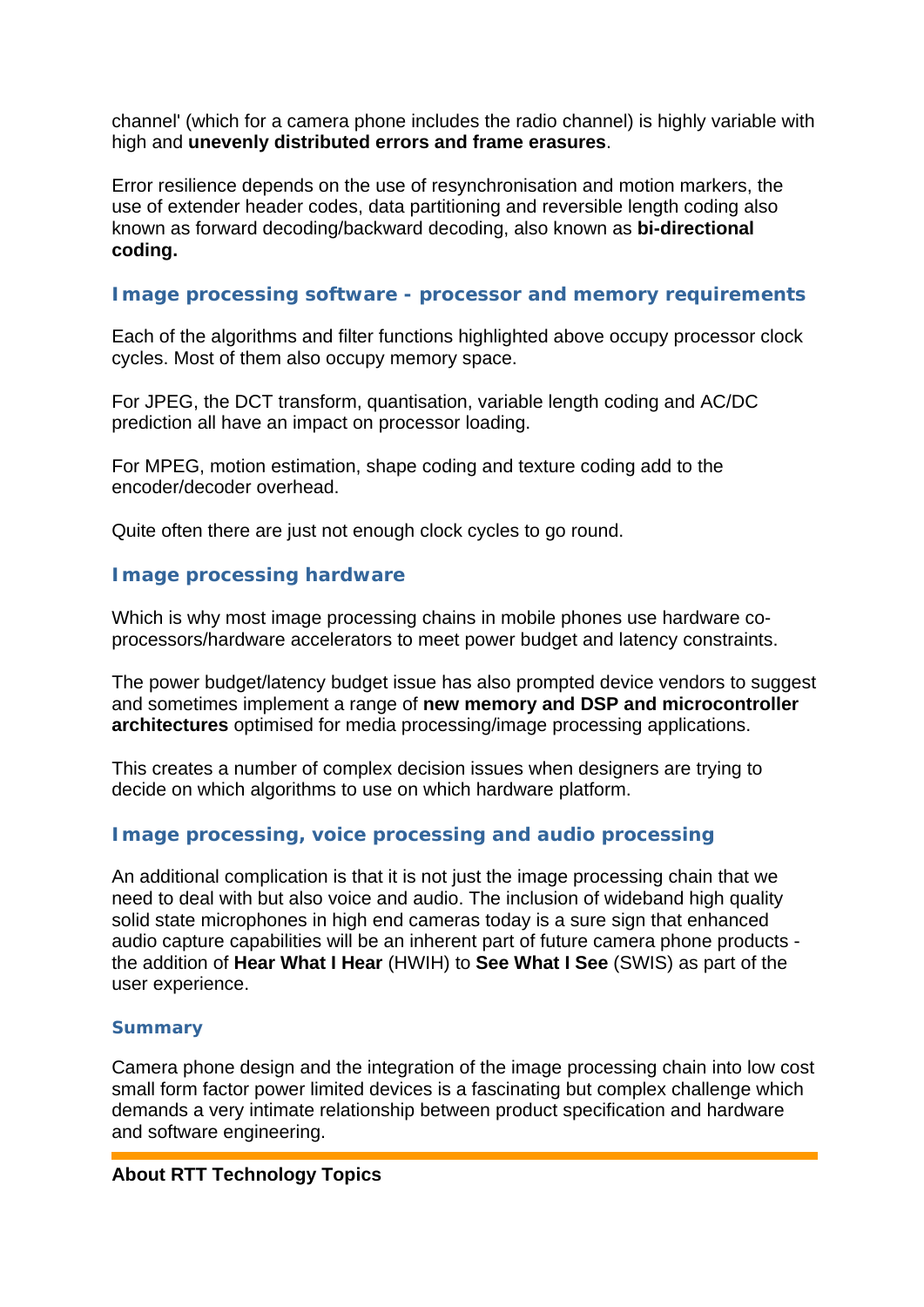channel' (which for a camera phone includes the radio channel) is highly variable with high and **unevenly distributed errors and frame erasures**.

Error resilience depends on the use of resynchronisation and motion markers, the use of extender header codes, data partitioning and reversible length coding also known as forward decoding/backward decoding, also known as **bi-directional coding.**

### **Image processing software - processor and memory requirements**

Each of the algorithms and filter functions highlighted above occupy processor clock cycles. Most of them also occupy memory space.

For JPEG, the DCT transform, quantisation, variable length coding and AC/DC prediction all have an impact on processor loading.

For MPEG, motion estimation, shape coding and texture coding add to the encoder/decoder overhead.

Quite often there are just not enough clock cycles to go round.

## **Image processing hardware**

Which is why most image processing chains in mobile phones use hardware coprocessors/hardware accelerators to meet power budget and latency constraints.

The power budget/latency budget issue has also prompted device vendors to suggest and sometimes implement a range of **new memory and DSP and microcontroller architectures** optimised for media processing/image processing applications.

This creates a number of complex decision issues when designers are trying to decide on which algorithms to use on which hardware platform.

## **Image processing, voice processing and audio processing**

An additional complication is that it is not just the image processing chain that we need to deal with but also voice and audio. The inclusion of wideband high quality solid state microphones in high end cameras today is a sure sign that enhanced audio capture capabilities will be an inherent part of future camera phone products the addition of **Hear What I Hear** (HWIH) to **See What I See** (SWIS) as part of the user experience.

### **Summary**

Camera phone design and the integration of the image processing chain into low cost small form factor power limited devices is a fascinating but complex challenge which demands a very intimate relationship between product specification and hardware and software engineering.